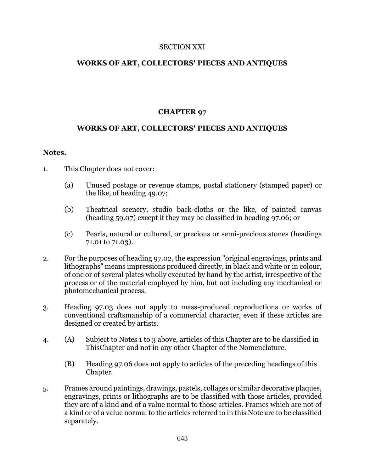### SECTION XXI

## **WORKS OF ART, COLLECTORS' PIECES AND ANTIQUES**

# **CHAPTER 97**

## **WORKS OF ART, COLLECTORS' PIECES AND ANTIQUES**

### **Notes.**

- 1. This Chapter does not cover:
	- (a) Unused postage or revenue stamps, postal stationery (stamped paper) or the like, of heading 49.07;
	- (b) Theatrical scenery, studio back-cloths or the like, of painted canvas (heading 59.07) except if they may be classified in heading 97.06; or
	- (c) Pearls, natural or cultured, or precious or semi-precious stones (headings 71.01 to 71.03).
- 2. For the purposes of heading 97.02, the expression "original engravings, prints and lithographs" means impressions produced directly, in black and white or in colour, of one or of several plates wholly executed by hand by the artist, irrespective of the process or of the material employed by him, but not including any mechanical or photomechanical process.
- 3. Heading 97.03 does not apply to mass-produced reproductions or works of conventional craftsmanship of a commercial character, even if these articles are designed or created by artists.
- 4. (A) Subject to Notes 1 to 3 above, articles of this Chapter are to be classified in ThisChapter and not in any other Chapter of the Nomenclature.
	- (B) Heading 97.06 does not apply to articles of the preceding headings of this Chapter.
- 5. Frames around paintings, drawings, pastels, collages or similar decorative plaques, engravings, prints or lithographs are to be classified with those articles, provided they are of a kind and of a value normal to those articles. Frames which are not of a kind or of a value normal to the articles referred to in this Note are to be classified separately.